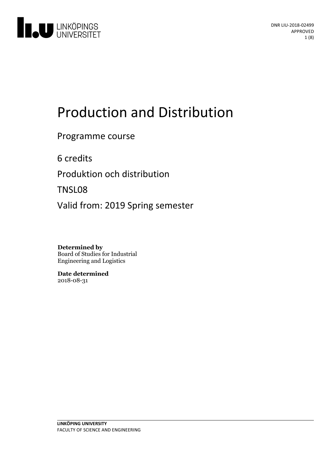

# Production and Distribution

Programme course

6 credits

Produktion och distribution

TNSL08

Valid from: 2019 Spring semester

**Determined by** Board of Studies for Industrial Engineering and Logistics

**Date determined** 2018-08-31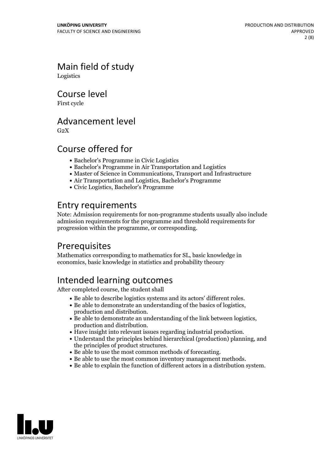Main field of study Logistics

Course level

First cycle

### Advancement level

 $G<sub>2</sub>X$ 

# Course offered for

- Bachelor's Programme in Civic Logistics
- Bachelor's Programme in Air Transportation and Logistics
- Master of Science in Communications, Transport and Infrastructure
- Air Transportation and Logistics, Bachelor's Programme
- Civic Logistics, Bachelor's Programme

# Entry requirements

Note: Admission requirements for non-programme students usually also include admission requirements for the programme and threshold requirements for progression within the programme, or corresponding.

# Prerequisites

Mathematics corresponding to mathematics for SL, basic knowledge in economics, basic knowledge in statistics and probability theoury

# Intended learning outcomes

After completed course, the student shall

- 
- 
- Be able to describe logistics systems and its actors' different roles.<br>
Be able to demonstrate an understanding of the basics of logistics, production and distribution.<br>
Be able to demonstrate an understanding of th
- 
- 
- 
- Be able to use the most common methods of forecasting.<br>• Be able to use the most common inventory management methods.<br>• Be able to explain the function of different actors in a distribution system.
- 

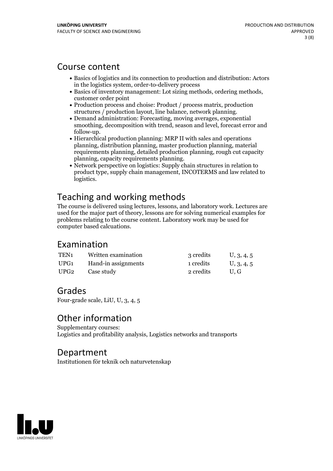### Course content

- Basics of logistics and its connection to production and distribution: Actors in the logistics system, order-to-delivery process
- Basics of inventory management: Lot sizing methods, ordering methods, customer order point
- Production process and choise: Product / process matrix, production structures / production layout, line balance, network planning.<br>• Demand administration: Forecasting, moving averages, exponential
- smoothing, decomposition with trend, season and level, forecast error and follow-up.<br>• Hierarchical production planning: MRP II with sales and operations
- planning, distribution planning, master production planning, material requirements planning, detailed production planning, rough cut capacity
- planning, capacity requirements planning.<br>• Network perspective on logistics: Supply chain structures in relation to product type, supply chain management, INCOTERMS and law related to logistics.

# Teaching and working methods

The course is delivered using lectures, lessons, and laboratory work. Lectures are used for the major part of theory, lessons are for solving numerical examples for problems relating to the course content. Laboratory work may be used for computer based calcuations.

### Examination

| TEN1 | Written examination | 3 credits | U, 3, 4, 5 |
|------|---------------------|-----------|------------|
| UPG1 | Hand-in assignments | 1 credits | U, 3, 4, 5 |
| UPG2 | Case study          | 2 credits | U.G        |

# Grades

Four-grade scale, LiU, U, 3, 4, 5

# Other information

Supplementary courses: Logistics and profitability analysis, Logistics networks and transports

### Department

Institutionen för teknik och naturvetenskap

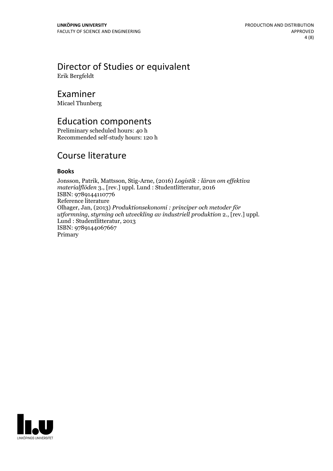# Director of Studies or equivalent

Erik Bergfeldt

### Examiner

Micael Thunberg

### Education components

Preliminary scheduled hours: 40 h Recommended self-study hours: 120 h

# Course literature

### **Books**

Jonsson, Patrik, Mattsson, Stig-Arne, (2016) *Logistik : läran om ef ektiva materialflöden* 3., [rev.] uppl. Lund : Studentlitteratur, 2016 ISBN: 9789144110776 Reference literature Olhager, Jan, (2013) *Produktionsekonomi : principer och metoder för utformning, styrning och utveckling av industriell produktion* 2., [rev.] uppl. Lund : Studentlitteratur, <sup>2013</sup> ISBN: 9789144067667 Primary

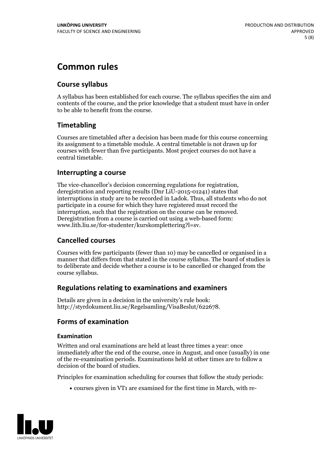# **Common rules**

### **Course syllabus**

A syllabus has been established for each course. The syllabus specifies the aim and contents of the course, and the prior knowledge that a student must have in order to be able to benefit from the course.

### **Timetabling**

Courses are timetabled after a decision has been made for this course concerning its assignment to a timetable module. A central timetable is not drawn up for courses with fewer than five participants. Most project courses do not have a central timetable.

### **Interrupting a course**

The vice-chancellor's decision concerning regulations for registration, deregistration and reporting results (Dnr LiU-2015-01241) states that interruptions in study are to be recorded in Ladok. Thus, all students who do not participate in a course for which they have registered must record the interruption, such that the registration on the course can be removed. Deregistration from <sup>a</sup> course is carried outusing <sup>a</sup> web-based form: www.lith.liu.se/for-studenter/kurskomplettering?l=sv.

### **Cancelled courses**

Courses with few participants (fewer than 10) may be cancelled or organised in a manner that differs from that stated in the course syllabus. The board of studies is to deliberate and decide whether a course is to be cancelled orchanged from the course syllabus.

### **Regulations relatingto examinations and examiners**

Details are given in a decision in the university's rule book: http://styrdokument.liu.se/Regelsamling/VisaBeslut/622678.

### **Forms of examination**

### **Examination**

Written and oral examinations are held at least three times a year: once immediately after the end of the course, once in August, and once (usually) in one of the re-examination periods. Examinations held at other times are to follow a decision of the board of studies.

Principles for examination scheduling for courses that follow the study periods:

courses given in VT1 are examined for the first time in March, with re-

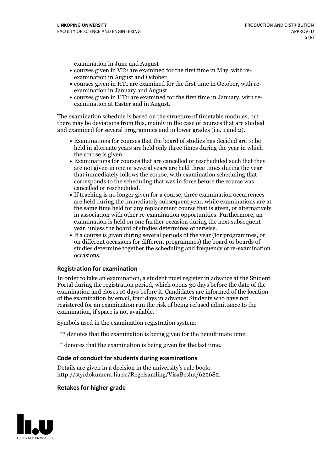examination in June and August

- courses given in VT2 are examined for the first time in May, with re-examination in August and October
- courses given in HT1 are examined for the first time in October, with re-examination in January and August
- courses given in HT2 are examined for the first time in January, with re-examination at Easter and in August.

The examination schedule is based on the structure of timetable modules, but there may be deviations from this, mainly in the case of courses that are studied and examined for several programmes and in lower grades (i.e. 1 and 2).

- Examinations for courses that the board of studies has decided are to be held in alternate years are held only three times during the year in which
- the course is given.<br>• Examinations for courses that are cancelled or rescheduled such that they are not given in one or several years are held three times during the year that immediately follows the course, with examination scheduling that corresponds to the scheduling that was in force before the course was cancelled or rescheduled.<br>• If teaching is no longer given for a course, three examination occurrences
- are held during the immediately subsequent year, while examinations are at the same time held for any replacement course that is given, or alternatively in association with other re-examination opportunities. Furthermore, an examination is held on one further occasion during the next subsequent year, unless the board of studies determines otherwise.<br>• If a course is given during several periods of the year (for programmes, or
- on different occasions for different programmes) the board orboards of studies determine together the scheduling and frequency of re-examination occasions.

#### **Registration for examination**

In order to take an examination, a student must register in advance at the Student Portal during the registration period, which opens 30 days before the date of the examination and closes 10 days before it. Candidates are informed of the location of the examination by email, four days in advance. Students who have not registered for an examination run the risk of being refused admittance to the examination, if space is not available.

Symbols used in the examination registration system:

- \*\* denotes that the examination is being given for the penultimate time.
- \* denotes that the examination is being given for the last time.

#### **Code of conduct for students during examinations**

Details are given in a decision in the university's rule book: http://styrdokument.liu.se/Regelsamling/VisaBeslut/622682.

#### **Retakes for higher grade**

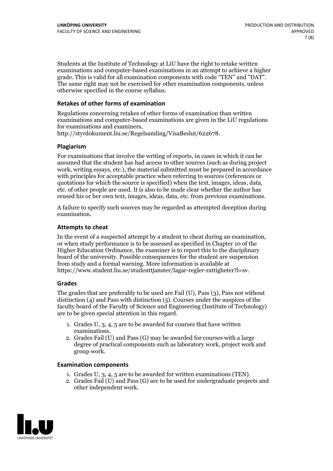Students at the Institute of Technology at LiU have the right to retake written examinations and computer-based examinations in an attempt to achieve a higher grade. This is valid for all examination components with code "TEN" and "DAT". The same right may not be exercised for other examination components, unless otherwise specified in the course syllabus.

### **Retakes of other forms of examination**

Regulations concerning retakes of other forms of examination than written examinations and computer-based examinations are given in the LiU regulations for examinations and examiners, http://styrdokument.liu.se/Regelsamling/VisaBeslut/622678.

#### **Plagiarism**

For examinations that involve the writing of reports, in cases in which it can be assumed that the student has had access to other sources (such as during project work, writing essays, etc.), the material submitted must be prepared in accordance with principles for acceptable practice when referring to sources (references or quotations for which the source is specified) when the text, images, ideas, data, etc. of other people are used. It is also to be made clear whether the author has reused his or her own text, images, ideas, data, etc. from previous examinations.

A failure to specify such sources may be regarded as attempted deception during examination.

#### **Attempts to cheat**

In the event of <sup>a</sup> suspected attempt by <sup>a</sup> student to cheat during an examination, or when study performance is to be assessed as specified in Chapter <sup>10</sup> of the Higher Education Ordinance, the examiner is to report this to the disciplinary board of the university. Possible consequences for the student are suspension from study and a formal warning. More information is available at https://www.student.liu.se/studenttjanster/lagar-regler-rattigheter?l=sv.

#### **Grades**

The grades that are preferably to be used are Fail (U), Pass (3), Pass not without distinction  $(4)$  and Pass with distinction  $(5)$ . Courses under the auspices of the faculty board of the Faculty of Science and Engineering (Institute of Technology) are to be given special attention in this regard.

- 1. Grades U, 3, 4, 5 are to be awarded for courses that have written
- examinations. 2. Grades Fail (U) and Pass (G) may be awarded for courses with <sup>a</sup> large degree of practical components such as laboratory work, project work and group work.

#### **Examination components**

- 
- 1. Grades U, 3, 4, <sup>5</sup> are to be awarded for written examinations (TEN). 2. Grades Fail (U) and Pass (G) are to be used for undergraduate projects and other independent work.